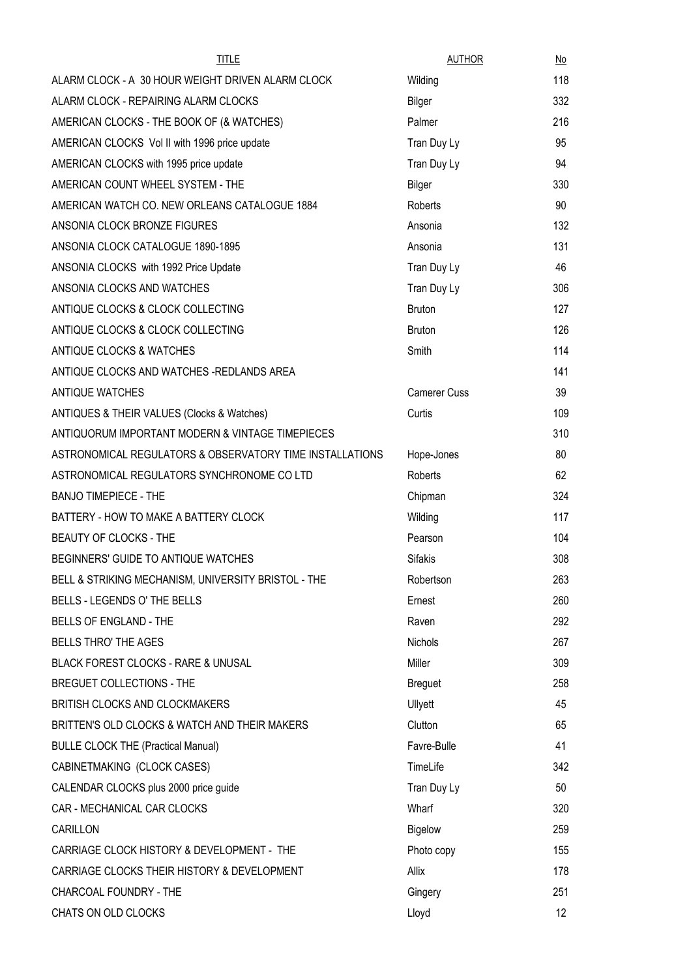| <b>TITLE</b>                                             | <b>AUTHOR</b>       | No  |
|----------------------------------------------------------|---------------------|-----|
| ALARM CLOCK - A 30 HOUR WEIGHT DRIVEN ALARM CLOCK        | Wilding             | 118 |
| ALARM CLOCK - REPAIRING ALARM CLOCKS                     | Bilger              | 332 |
| AMERICAN CLOCKS - THE BOOK OF (& WATCHES)                | Palmer              | 216 |
| AMERICAN CLOCKS Vol II with 1996 price update            | Tran Duy Ly         | 95  |
| AMERICAN CLOCKS with 1995 price update                   | Tran Duy Ly         | 94  |
| AMERICAN COUNT WHEEL SYSTEM - THE                        | Bilger              | 330 |
| AMERICAN WATCH CO. NEW ORLEANS CATALOGUE 1884            | Roberts             | 90  |
| ANSONIA CLOCK BRONZE FIGURES                             | Ansonia             | 132 |
| ANSONIA CLOCK CATALOGUE 1890-1895                        | Ansonia             | 131 |
| ANSONIA CLOCKS with 1992 Price Update                    | Tran Duy Ly         | 46  |
| ANSONIA CLOCKS AND WATCHES                               | Tran Duy Ly         | 306 |
| ANTIQUE CLOCKS & CLOCK COLLECTING                        | <b>Bruton</b>       | 127 |
| ANTIQUE CLOCKS & CLOCK COLLECTING                        | <b>Bruton</b>       | 126 |
| ANTIQUE CLOCKS & WATCHES                                 | Smith               | 114 |
| ANTIQUE CLOCKS AND WATCHES -REDLANDS AREA                |                     | 141 |
| ANTIQUE WATCHES                                          | <b>Camerer Cuss</b> | 39  |
| ANTIQUES & THEIR VALUES (Clocks & Watches)               | Curtis              | 109 |
| ANTIQUORUM IMPORTANT MODERN & VINTAGE TIMEPIECES         |                     | 310 |
| ASTRONOMICAL REGULATORS & OBSERVATORY TIME INSTALLATIONS | Hope-Jones          | 80  |
| ASTRONOMICAL REGULATORS SYNCHRONOME CO LTD               | Roberts             | 62  |
| <b>BANJO TIMEPIECE - THE</b>                             | Chipman             | 324 |
| BATTERY - HOW TO MAKE A BATTERY CLOCK                    | Wilding             | 117 |
| BEAUTY OF CLOCKS - THE                                   | Pearson             | 104 |
| BEGINNERS' GUIDE TO ANTIQUE WATCHES                      | <b>Sifakis</b>      | 308 |
| BELL & STRIKING MECHANISM, UNIVERSITY BRISTOL - THE      | Robertson           | 263 |
| BELLS - LEGENDS O' THE BELLS                             | Ernest              | 260 |
| BELLS OF ENGLAND - THE                                   | Raven               | 292 |
| <b>BELLS THRO' THE AGES</b>                              | <b>Nichols</b>      | 267 |
| BLACK FOREST CLOCKS - RARE & UNUSAL                      | Miller              | 309 |
| BREGUET COLLECTIONS - THE                                | <b>Breguet</b>      | 258 |
| BRITISH CLOCKS AND CLOCKMAKERS                           | Ullyett             | 45  |
| BRITTEN'S OLD CLOCKS & WATCH AND THEIR MAKERS            | Clutton             | 65  |
| <b>BULLE CLOCK THE (Practical Manual)</b>                | Favre-Bulle         | 41  |
| CABINETMAKING (CLOCK CASES)                              | TimeLife            | 342 |
| CALENDAR CLOCKS plus 2000 price guide                    | Tran Duy Ly         | 50  |
| CAR - MECHANICAL CAR CLOCKS                              | Wharf               | 320 |
| CARILLON                                                 | Bigelow             | 259 |
| CARRIAGE CLOCK HISTORY & DEVELOPMENT - THE               | Photo copy          | 155 |
| CARRIAGE CLOCKS THEIR HISTORY & DEVELOPMENT              | Allix               | 178 |
| CHARCOAL FOUNDRY - THE                                   | Gingery             | 251 |
| CHATS ON OLD CLOCKS                                      | Lloyd               | 12  |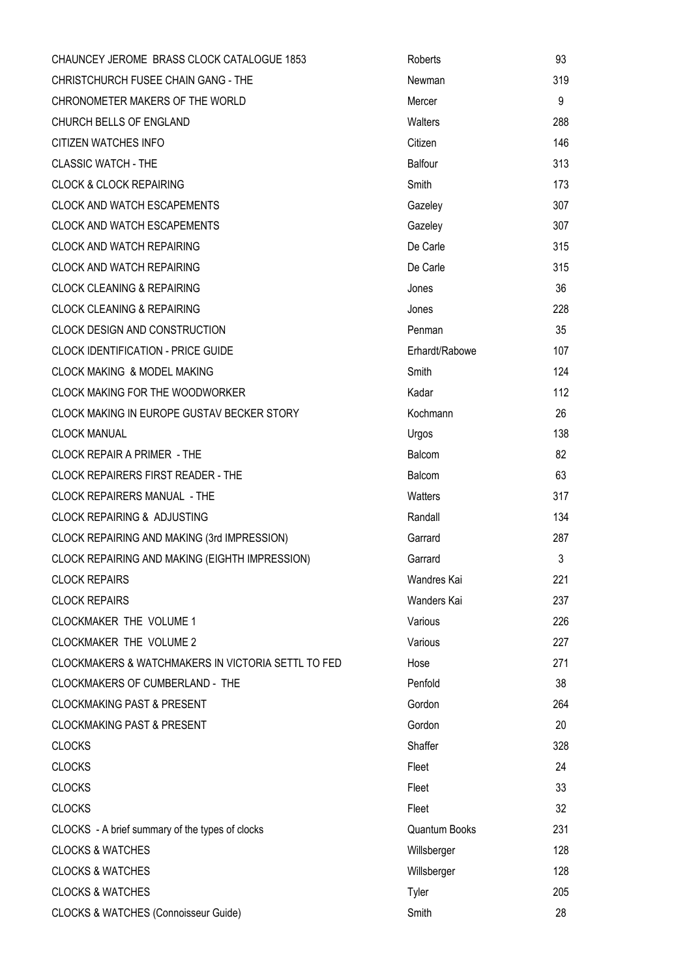| CHAUNCEY JEROME BRASS CLOCK CATALOGUE 1853         | Roberts        | 93  |
|----------------------------------------------------|----------------|-----|
| CHRISTCHURCH FUSEE CHAIN GANG - THE                | Newman         | 319 |
| CHRONOMETER MAKERS OF THE WORLD                    | Mercer         | 9   |
| CHURCH BELLS OF ENGLAND                            | Walters        | 288 |
| CITIZEN WATCHES INFO                               | Citizen        | 146 |
| <b>CLASSIC WATCH - THE</b>                         | Balfour        | 313 |
| <b>CLOCK &amp; CLOCK REPAIRING</b>                 | Smith          | 173 |
| <b>CLOCK AND WATCH ESCAPEMENTS</b>                 | Gazeley        | 307 |
| <b>CLOCK AND WATCH ESCAPEMENTS</b>                 | Gazeley        | 307 |
| <b>CLOCK AND WATCH REPAIRING</b>                   | De Carle       | 315 |
| <b>CLOCK AND WATCH REPAIRING</b>                   | De Carle       | 315 |
| <b>CLOCK CLEANING &amp; REPAIRING</b>              | Jones          | 36  |
| <b>CLOCK CLEANING &amp; REPAIRING</b>              | Jones          | 228 |
| <b>CLOCK DESIGN AND CONSTRUCTION</b>               | Penman         | 35  |
| <b>CLOCK IDENTIFICATION - PRICE GUIDE</b>          | Erhardt/Rabowe | 107 |
| <b>CLOCK MAKING &amp; MODEL MAKING</b>             | Smith          | 124 |
| CLOCK MAKING FOR THE WOODWORKER                    | Kadar          | 112 |
| CLOCK MAKING IN EUROPE GUSTAV BECKER STORY         | Kochmann       | 26  |
| <b>CLOCK MANUAL</b>                                | Urgos          | 138 |
| CLOCK REPAIR A PRIMER - THE                        | Balcom         | 82  |
| <b>CLOCK REPAIRERS FIRST READER - THE</b>          | Balcom         | 63  |
| <b>CLOCK REPAIRERS MANUAL - THE</b>                | Watters        | 317 |
| <b>CLOCK REPAIRING &amp; ADJUSTING</b>             | Randall        | 134 |
| CLOCK REPAIRING AND MAKING (3rd IMPRESSION)        | Garrard        | 287 |
| CLOCK REPAIRING AND MAKING (EIGHTH IMPRESSION)     | Garrard        | 3   |
| <b>CLOCK REPAIRS</b>                               | Wandres Kai    | 221 |
| <b>CLOCK REPAIRS</b>                               | Wanders Kai    | 237 |
| CLOCKMAKER THE VOLUME 1                            | Various        | 226 |
| CLOCKMAKER THE VOLUME 2                            | Various        | 227 |
| CLOCKMAKERS & WATCHMAKERS IN VICTORIA SETTL TO FED | Hose           | 271 |
| <b>CLOCKMAKERS OF CUMBERLAND - THE</b>             | Penfold        | 38  |
| <b>CLOCKMAKING PAST &amp; PRESENT</b>              | Gordon         | 264 |
| <b>CLOCKMAKING PAST &amp; PRESENT</b>              | Gordon         | 20  |
| <b>CLOCKS</b>                                      | Shaffer        | 328 |
| <b>CLOCKS</b>                                      | Fleet          | 24  |
| <b>CLOCKS</b>                                      | Fleet          | 33  |
| <b>CLOCKS</b>                                      | Fleet          | 32  |
| CLOCKS - A brief summary of the types of clocks    | Quantum Books  | 231 |
| <b>CLOCKS &amp; WATCHES</b>                        | Willsberger    | 128 |
| <b>CLOCKS &amp; WATCHES</b>                        | Willsberger    | 128 |
| <b>CLOCKS &amp; WATCHES</b>                        | Tyler          | 205 |
| <b>CLOCKS &amp; WATCHES (Connoisseur Guide)</b>    | Smith          | 28  |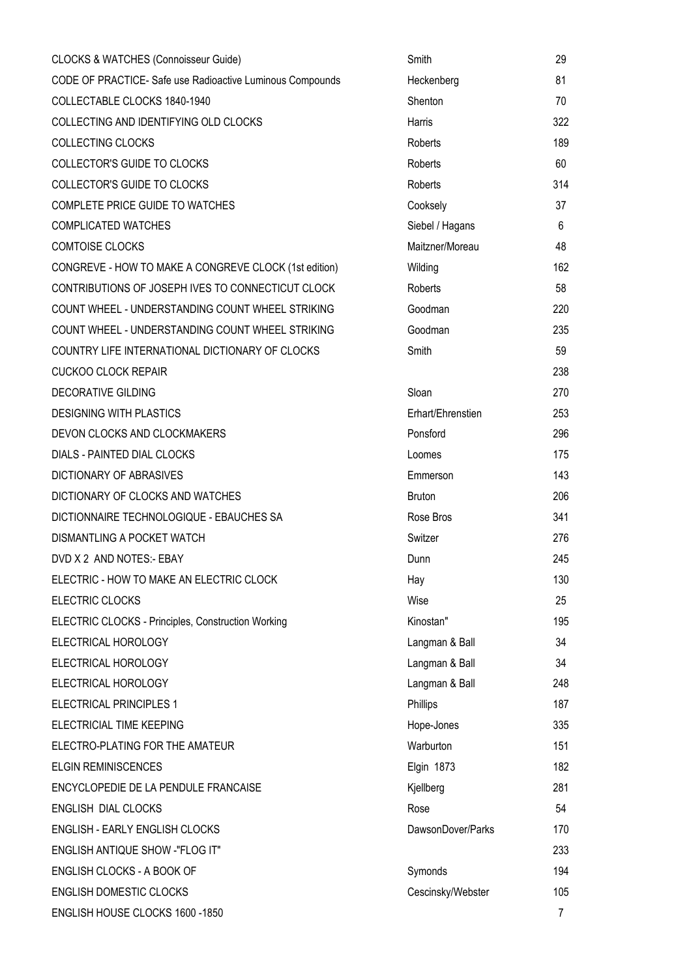| <b>CLOCKS &amp; WATCHES (Connoisseur Guide)</b>           | Smith             | 29             |
|-----------------------------------------------------------|-------------------|----------------|
| CODE OF PRACTICE- Safe use Radioactive Luminous Compounds | Heckenberg        | 81             |
| COLLECTABLE CLOCKS 1840-1940                              | Shenton           | 70             |
| COLLECTING AND IDENTIFYING OLD CLOCKS                     | Harris            | 322            |
| COLLECTING CLOCKS                                         | Roberts           | 189            |
| <b>COLLECTOR'S GUIDE TO CLOCKS</b>                        | Roberts           | 60             |
| <b>COLLECTOR'S GUIDE TO CLOCKS</b>                        | Roberts           | 314            |
| COMPLETE PRICE GUIDE TO WATCHES                           | Cooksely          | 37             |
| <b>COMPLICATED WATCHES</b>                                | Siebel / Hagans   | 6              |
| <b>COMTOISE CLOCKS</b>                                    | Maitzner/Moreau   | 48             |
| CONGREVE - HOW TO MAKE A CONGREVE CLOCK (1st edition)     | Wilding           | 162            |
| CONTRIBUTIONS OF JOSEPH IVES TO CONNECTICUT CLOCK         | Roberts           | 58             |
| COUNT WHEEL - UNDERSTANDING COUNT WHEEL STRIKING          | Goodman           | 220            |
| COUNT WHEEL - UNDERSTANDING COUNT WHEEL STRIKING          | Goodman           | 235            |
| COUNTRY LIFE INTERNATIONAL DICTIONARY OF CLOCKS           | Smith             | 59             |
| <b>CUCKOO CLOCK REPAIR</b>                                |                   | 238            |
| <b>DECORATIVE GILDING</b>                                 | Sloan             | 270            |
| <b>DESIGNING WITH PLASTICS</b>                            | Erhart/Ehrenstien | 253            |
| DEVON CLOCKS AND CLOCKMAKERS                              | Ponsford          | 296            |
| DIALS - PAINTED DIAL CLOCKS                               | Loomes            | 175            |
| DICTIONARY OF ABRASIVES                                   | Emmerson          | 143            |
| DICTIONARY OF CLOCKS AND WATCHES                          | <b>Bruton</b>     | 206            |
| DICTIONNAIRE TECHNOLOGIQUE - EBAUCHES SA                  | Rose Bros         | 341            |
| DISMANTLING A POCKET WATCH                                | Switzer           | 276            |
| DVD X 2 AND NOTES:- EBAY                                  | Dunn              | 245            |
| ELECTRIC - HOW TO MAKE AN ELECTRIC CLOCK                  | Hay               | 130            |
| ELECTRIC CLOCKS                                           | Wise              | 25             |
| ELECTRIC CLOCKS - Principles, Construction Working        | Kinostan"         | 195            |
| ELECTRICAL HOROLOGY                                       | Langman & Ball    | 34             |
| ELECTRICAL HOROLOGY                                       | Langman & Ball    | 34             |
| ELECTRICAL HOROLOGY                                       | Langman & Ball    | 248            |
| <b>ELECTRICAL PRINCIPLES 1</b>                            | Phillips          | 187            |
| ELECTRICIAL TIME KEEPING                                  | Hope-Jones        | 335            |
| ELECTRO-PLATING FOR THE AMATEUR                           | Warburton         | 151            |
| <b>ELGIN REMINISCENCES</b>                                | <b>Elgin 1873</b> | 182            |
| ENCYCLOPEDIE DE LA PENDULE FRANCAISE                      | Kjellberg         | 281            |
| ENGLISH DIAL CLOCKS                                       | Rose              | 54             |
| ENGLISH - EARLY ENGLISH CLOCKS                            | DawsonDover/Parks | 170            |
| ENGLISH ANTIQUE SHOW -"FLOG IT"                           |                   | 233            |
| ENGLISH CLOCKS - A BOOK OF                                | Symonds           | 194            |
| <b>ENGLISH DOMESTIC CLOCKS</b>                            | Cescinsky/Webster | 105            |
| ENGLISH HOUSE CLOCKS 1600 -1850                           |                   | $\overline{7}$ |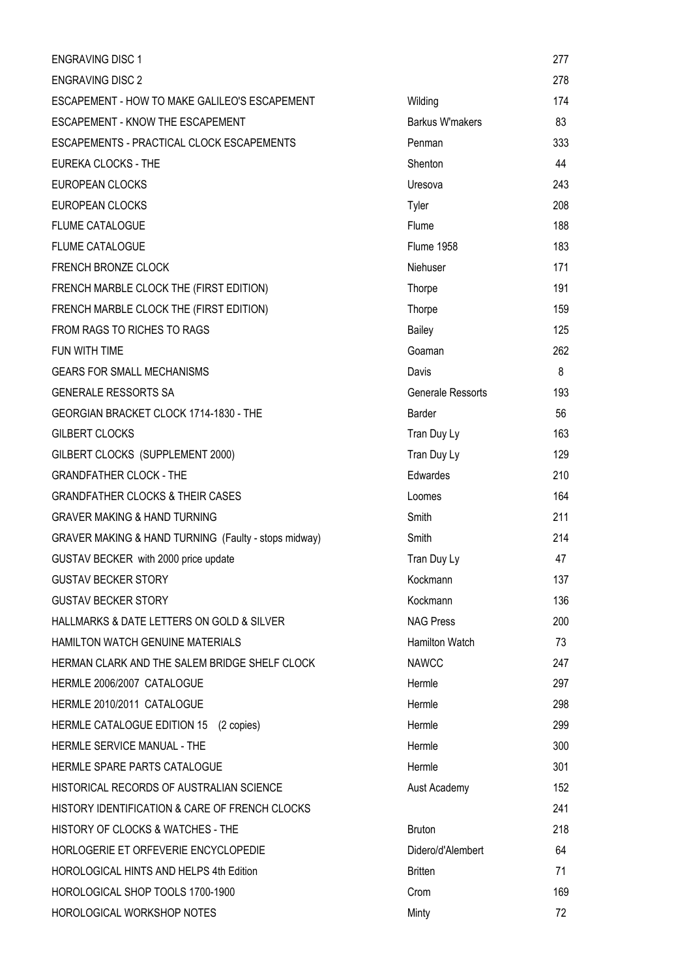| <b>ENGRAVING DISC 1</b>                              |                        | 277 |
|------------------------------------------------------|------------------------|-----|
| <b>ENGRAVING DISC 2</b>                              |                        | 278 |
| ESCAPEMENT - HOW TO MAKE GALILEO'S ESCAPEMENT        | Wilding                | 174 |
| <b>ESCAPEMENT - KNOW THE ESCAPEMENT</b>              | <b>Barkus W'makers</b> | 83  |
| ESCAPEMENTS - PRACTICAL CLOCK ESCAPEMENTS            | Penman                 | 333 |
| <b>EUREKA CLOCKS - THE</b>                           | Shenton                | 44  |
| <b>EUROPEAN CLOCKS</b>                               | Uresova                | 243 |
| <b>EUROPEAN CLOCKS</b>                               | Tyler                  | 208 |
| <b>FLUME CATALOGUE</b>                               | Flume                  | 188 |
| <b>FLUME CATALOGUE</b>                               | <b>Flume 1958</b>      | 183 |
| FRENCH BRONZE CLOCK                                  | Niehuser               | 171 |
| FRENCH MARBLE CLOCK THE (FIRST EDITION)              | Thorpe                 | 191 |
| FRENCH MARBLE CLOCK THE (FIRST EDITION)              | Thorpe                 | 159 |
| FROM RAGS TO RICHES TO RAGS                          | Bailey                 | 125 |
| FUN WITH TIME                                        | Goaman                 | 262 |
| <b>GEARS FOR SMALL MECHANISMS</b>                    | Davis                  | 8   |
| <b>GENERALE RESSORTS SA</b>                          | Generale Ressorts      | 193 |
| GEORGIAN BRACKET CLOCK 1714-1830 - THE               | Barder                 | 56  |
| <b>GILBERT CLOCKS</b>                                | Tran Duy Ly            | 163 |
| GILBERT CLOCKS (SUPPLEMENT 2000)                     | Tran Duy Ly            | 129 |
| <b>GRANDFATHER CLOCK - THE</b>                       | Edwardes               | 210 |
| <b>GRANDFATHER CLOCKS &amp; THEIR CASES</b>          | Loomes                 | 164 |
| <b>GRAVER MAKING &amp; HAND TURNING</b>              | Smith                  | 211 |
| GRAVER MAKING & HAND TURNING (Faulty - stops midway) | Smith                  | 214 |
| GUSTAV BECKER with 2000 price update                 | Tran Duy Ly            | 47  |
| <b>GUSTAV BECKER STORY</b>                           | Kockmann               | 137 |
| <b>GUSTAV BECKER STORY</b>                           | Kockmann               | 136 |
| HALLMARKS & DATE LETTERS ON GOLD & SILVER            | <b>NAG Press</b>       | 200 |
| <b>HAMILTON WATCH GENUINE MATERIALS</b>              | <b>Hamilton Watch</b>  | 73  |
| HERMAN CLARK AND THE SALEM BRIDGE SHELF CLOCK        | <b>NAWCC</b>           | 247 |
| HERMLE 2006/2007 CATALOGUE                           | Hermle                 | 297 |
| HERMLE 2010/2011 CATALOGUE                           | Hermle                 | 298 |
| HERMLE CATALOGUE EDITION 15<br>(2 copies)            | Hermle                 | 299 |
| HERMLE SERVICE MANUAL - THE                          | Hermle                 | 300 |
| HERMLE SPARE PARTS CATALOGUE                         | Hermle                 | 301 |
| HISTORICAL RECORDS OF AUSTRALIAN SCIENCE             | Aust Academy           | 152 |
| HISTORY IDENTIFICATION & CARE OF FRENCH CLOCKS       |                        | 241 |
| HISTORY OF CLOCKS & WATCHES - THE                    | <b>Bruton</b>          | 218 |
| HORLOGERIE ET ORFEVERIE ENCYCLOPEDIE                 | Didero/d'Alembert      | 64  |
| HOROLOGICAL HINTS AND HELPS 4th Edition              | <b>Britten</b>         | 71  |
| HOROLOGICAL SHOP TOOLS 1700-1900                     | Crom                   | 169 |
| HOROLOGICAL WORKSHOP NOTES                           | Minty                  | 72  |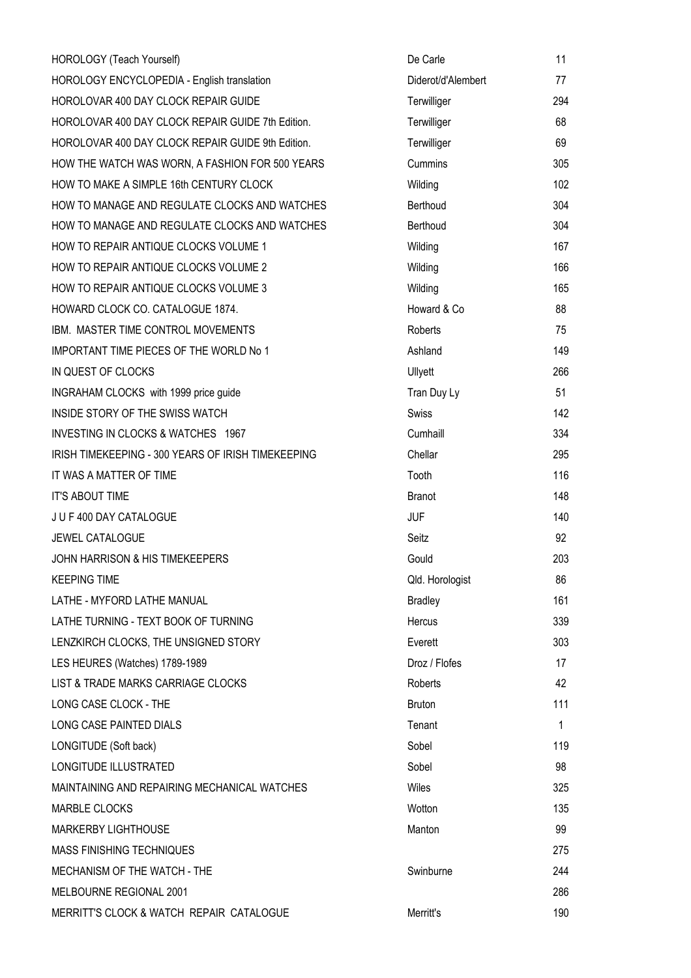| HOROLOGY (Teach Yourself)                          | De Carle           | 11  |
|----------------------------------------------------|--------------------|-----|
| HOROLOGY ENCYCLOPEDIA - English translation        | Diderot/d'Alembert | 77  |
| HOROLOVAR 400 DAY CLOCK REPAIR GUIDE               | Terwilliger        | 294 |
| HOROLOVAR 400 DAY CLOCK REPAIR GUIDE 7th Edition.  | Terwilliger        | 68  |
| HOROLOVAR 400 DAY CLOCK REPAIR GUIDE 9th Edition.  | Terwilliger        | 69  |
| HOW THE WATCH WAS WORN, A FASHION FOR 500 YEARS    | Cummins            | 305 |
| HOW TO MAKE A SIMPLE 16th CENTURY CLOCK            | Wilding            | 102 |
| HOW TO MANAGE AND REGULATE CLOCKS AND WATCHES      | Berthoud           | 304 |
| HOW TO MANAGE AND REGULATE CLOCKS AND WATCHES      | Berthoud           | 304 |
| HOW TO REPAIR ANTIQUE CLOCKS VOLUME 1              | Wilding            | 167 |
| HOW TO REPAIR ANTIQUE CLOCKS VOLUME 2              | Wilding            | 166 |
| HOW TO REPAIR ANTIQUE CLOCKS VOLUME 3              | Wilding            | 165 |
| HOWARD CLOCK CO. CATALOGUE 1874.                   | Howard & Co        | 88  |
| IBM. MASTER TIME CONTROL MOVEMENTS                 | Roberts            | 75  |
| IMPORTANT TIME PIECES OF THE WORLD No 1            | Ashland            | 149 |
| IN QUEST OF CLOCKS                                 | Ullyett            | 266 |
| INGRAHAM CLOCKS with 1999 price guide              | Tran Duy Ly        | 51  |
| INSIDE STORY OF THE SWISS WATCH                    | Swiss              | 142 |
| INVESTING IN CLOCKS & WATCHES 1967                 | Cumhaill           | 334 |
| IRISH TIMEKEEPING - 300 YEARS OF IRISH TIMEKEEPING | Chellar            | 295 |
| IT WAS A MATTER OF TIME                            | Tooth              | 116 |
| <b>IT'S ABOUT TIME</b>                             | <b>Branot</b>      | 148 |
| JUF400 DAY CATALOGUE                               | <b>JUF</b>         | 140 |
| <b>JEWEL CATALOGUE</b>                             | Seitz              | 92  |
| <b>JOHN HARRISON &amp; HIS TIMEKEEPERS</b>         | Gould              | 203 |
| <b>KEEPING TIME</b>                                | Qld. Horologist    | 86  |
| LATHE - MYFORD LATHE MANUAL                        | <b>Bradley</b>     | 161 |
| LATHE TURNING - TEXT BOOK OF TURNING               | Hercus             | 339 |
| LENZKIRCH CLOCKS, THE UNSIGNED STORY               | Everett            | 303 |
| LES HEURES (Watches) 1789-1989                     | Droz / Flofes      | 17  |
| LIST & TRADE MARKS CARRIAGE CLOCKS                 | Roberts            | 42  |
| LONG CASE CLOCK - THE                              | <b>Bruton</b>      | 111 |
| LONG CASE PAINTED DIALS                            | Tenant             | 1   |
| LONGITUDE (Soft back)                              | Sobel              | 119 |
| LONGITUDE ILLUSTRATED                              | Sobel              | 98  |
| MAINTAINING AND REPAIRING MECHANICAL WATCHES       | Wiles              | 325 |
| <b>MARBLE CLOCKS</b>                               | Wotton             | 135 |
| MARKERBY LIGHTHOUSE                                | Manton             | 99  |
| MASS FINISHING TECHNIQUES                          |                    | 275 |
| MECHANISM OF THE WATCH - THE                       | Swinburne          | 244 |
| MELBOURNE REGIONAL 2001                            |                    | 286 |
| MERRITT'S CLOCK & WATCH REPAIR CATALOGUE           | Merritt's          | 190 |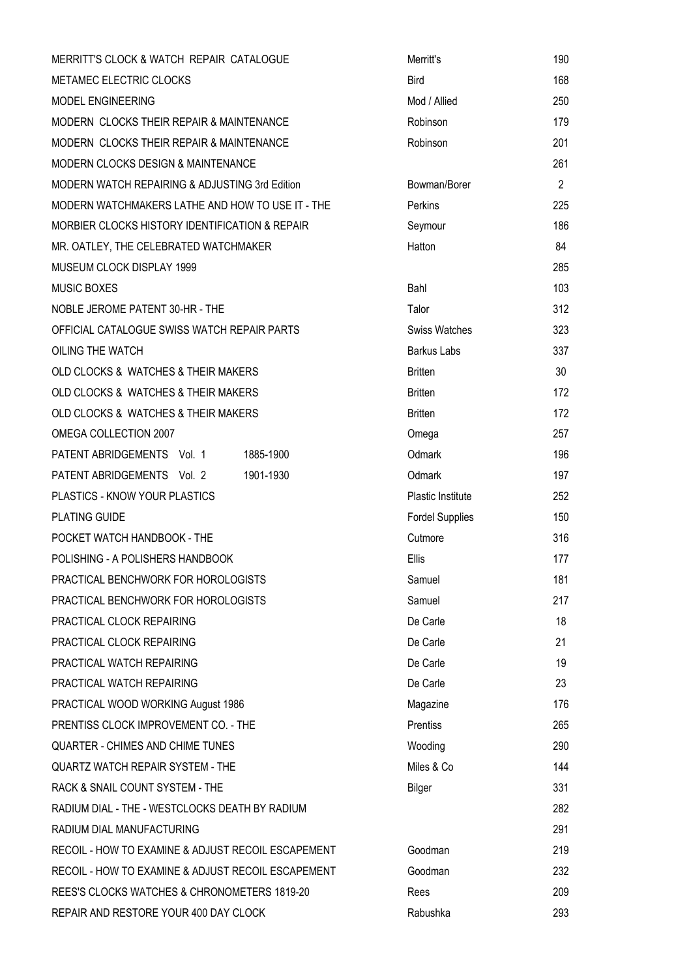| MERRITT'S CLOCK & WATCH REPAIR CATALOGUE           | Merritt's              | 190            |
|----------------------------------------------------|------------------------|----------------|
| METAMEC ELECTRIC CLOCKS                            | <b>Bird</b>            | 168            |
| MODEL ENGINEERING                                  | Mod / Allied           | 250            |
| MODERN CLOCKS THEIR REPAIR & MAINTENANCE           | Robinson               | 179            |
| MODERN CLOCKS THEIR REPAIR & MAINTENANCE           | Robinson               | 201            |
| MODERN CLOCKS DESIGN & MAINTENANCE                 |                        | 261            |
| MODERN WATCH REPAIRING & ADJUSTING 3rd Edition     | Bowman/Borer           | $\overline{2}$ |
| MODERN WATCHMAKERS LATHE AND HOW TO USE IT - THE   | Perkins                | 225            |
| MORBIER CLOCKS HISTORY IDENTIFICATION & REPAIR     | Seymour                | 186            |
| MR. OATLEY, THE CELEBRATED WATCHMAKER              | Hatton                 | 84             |
| MUSEUM CLOCK DISPLAY 1999                          |                        | 285            |
| <b>MUSIC BOXES</b>                                 | Bahl                   | 103            |
| NOBLE JEROME PATENT 30-HR - THE                    | Talor                  | 312            |
| OFFICIAL CATALOGUE SWISS WATCH REPAIR PARTS        | <b>Swiss Watches</b>   | 323            |
| OILING THE WATCH                                   | <b>Barkus Labs</b>     | 337            |
| OLD CLOCKS & WATCHES & THEIR MAKERS                | <b>Britten</b>         | 30             |
| OLD CLOCKS & WATCHES & THEIR MAKERS                | <b>Britten</b>         | 172            |
| OLD CLOCKS & WATCHES & THEIR MAKERS                | <b>Britten</b>         | 172            |
| OMEGA COLLECTION 2007                              | Omega                  | 257            |
| PATENT ABRIDGEMENTS Vol. 1<br>1885-1900            | Odmark                 | 196            |
| PATENT ABRIDGEMENTS Vol. 2<br>1901-1930            | Odmark                 | 197            |
| PLASTICS - KNOW YOUR PLASTICS                      | Plastic Institute      | 252            |
| <b>PLATING GUIDE</b>                               | <b>Fordel Supplies</b> | 150            |
| POCKET WATCH HANDBOOK - THE                        | Cutmore                | 316            |
| POLISHING - A POLISHERS HANDBOOK                   | Ellis                  | 177            |
| PRACTICAL BENCHWORK FOR HOROLOGISTS                | Samuel                 | 181            |
| PRACTICAL BENCHWORK FOR HOROLOGISTS                | Samuel                 | 217            |
| PRACTICAL CLOCK REPAIRING                          | De Carle               | 18             |
| PRACTICAL CLOCK REPAIRING                          | De Carle               | 21             |
| PRACTICAL WATCH REPAIRING                          | De Carle               | 19             |
| PRACTICAL WATCH REPAIRING                          | De Carle               | 23             |
| PRACTICAL WOOD WORKING August 1986                 | Magazine               | 176            |
| PRENTISS CLOCK IMPROVEMENT CO. - THE               | Prentiss               | 265            |
| <b>QUARTER - CHIMES AND CHIME TUNES</b>            | Wooding                | 290            |
| <b>QUARTZ WATCH REPAIR SYSTEM - THE</b>            | Miles & Co             | 144            |
| RACK & SNAIL COUNT SYSTEM - THE                    | Bilger                 | 331            |
| RADIUM DIAL - THE - WESTCLOCKS DEATH BY RADIUM     |                        | 282            |
| RADIUM DIAL MANUFACTURING                          |                        | 291            |
| RECOIL - HOW TO EXAMINE & ADJUST RECOIL ESCAPEMENT | Goodman                | 219            |
| RECOIL - HOW TO EXAMINE & ADJUST RECOIL ESCAPEMENT | Goodman                | 232            |
| REES'S CLOCKS WATCHES & CHRONOMETERS 1819-20       | Rees                   | 209            |
| REPAIR AND RESTORE YOUR 400 DAY CLOCK              | Rabushka               | 293            |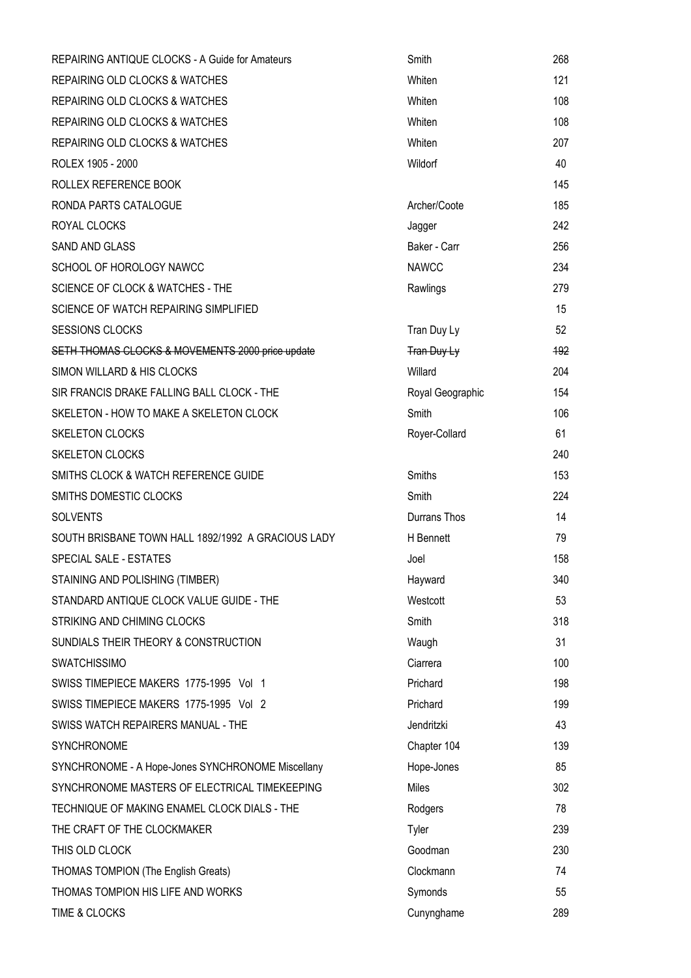| <b>REPAIRING ANTIQUE CLOCKS - A Guide for Amateurs</b> | Smith            | 268 |
|--------------------------------------------------------|------------------|-----|
| <b>REPAIRING OLD CLOCKS &amp; WATCHES</b>              | Whiten           | 121 |
| <b>REPAIRING OLD CLOCKS &amp; WATCHES</b>              | Whiten           | 108 |
| <b>REPAIRING OLD CLOCKS &amp; WATCHES</b>              | Whiten           | 108 |
| REPAIRING OLD CLOCKS & WATCHES                         | Whiten           | 207 |
| ROLEX 1905 - 2000                                      | Wildorf          | 40  |
| ROLLEX REFERENCE BOOK                                  |                  | 145 |
| RONDA PARTS CATALOGUE                                  | Archer/Coote     | 185 |
| ROYAL CLOCKS                                           | Jagger           | 242 |
| <b>SAND AND GLASS</b>                                  | Baker - Carr     | 256 |
| SCHOOL OF HOROLOGY NAWCC                               | <b>NAWCC</b>     | 234 |
| <b>SCIENCE OF CLOCK &amp; WATCHES - THE</b>            | Rawlings         | 279 |
| SCIENCE OF WATCH REPAIRING SIMPLIFIED                  |                  | 15  |
| <b>SESSIONS CLOCKS</b>                                 | Tran Duy Ly      | 52  |
| SETH THOMAS CLOCKS & MOVEMENTS 2000 price update       | Tran Duy Ly      | 192 |
| SIMON WILLARD & HIS CLOCKS                             | Willard          | 204 |
| SIR FRANCIS DRAKE FALLING BALL CLOCK - THE             | Royal Geographic | 154 |
| SKELETON - HOW TO MAKE A SKELETON CLOCK                | Smith            | 106 |
| <b>SKELETON CLOCKS</b>                                 | Royer-Collard    | 61  |
| <b>SKELETON CLOCKS</b>                                 |                  | 240 |
| SMITHS CLOCK & WATCH REFERENCE GUIDE                   | Smiths           | 153 |
| SMITHS DOMESTIC CLOCKS                                 | Smith            | 224 |
| <b>SOLVENTS</b>                                        | Durrans Thos     | 14  |
| SOUTH BRISBANE TOWN HALL 1892/1992 A GRACIOUS LADY     | H Bennett        | 79  |
| SPECIAL SALE - ESTATES                                 | Joel             | 158 |
| STAINING AND POLISHING (TIMBER)                        | Hayward          | 340 |
| STANDARD ANTIQUE CLOCK VALUE GUIDE - THE               | Westcott         | 53  |
| STRIKING AND CHIMING CLOCKS                            | Smith            | 318 |
| SUNDIALS THEIR THEORY & CONSTRUCTION                   | Waugh            | 31  |
| <b>SWATCHISSIMO</b>                                    | Ciarrera         | 100 |
| SWISS TIMEPIECE MAKERS 1775-1995 Vol 1                 | Prichard         | 198 |
| SWISS TIMEPIECE MAKERS 1775-1995 Vol 2                 | Prichard         | 199 |
| SWISS WATCH REPAIRERS MANUAL - THE                     | Jendritzki       | 43  |
| SYNCHRONOME                                            | Chapter 104      | 139 |
| SYNCHRONOME - A Hope-Jones SYNCHRONOME Miscellany      | Hope-Jones       | 85  |
| SYNCHRONOME MASTERS OF ELECTRICAL TIMEKEEPING          | <b>Miles</b>     | 302 |
| TECHNIQUE OF MAKING ENAMEL CLOCK DIALS - THE           | Rodgers          | 78  |
| THE CRAFT OF THE CLOCKMAKER                            | Tyler            | 239 |
| THIS OLD CLOCK                                         | Goodman          | 230 |
| <b>THOMAS TOMPION (The English Greats)</b>             | Clockmann        | 74  |
| THOMAS TOMPION HIS LIFE AND WORKS                      | Symonds          | 55  |
| TIME & CLOCKS                                          | Cunynghame       | 289 |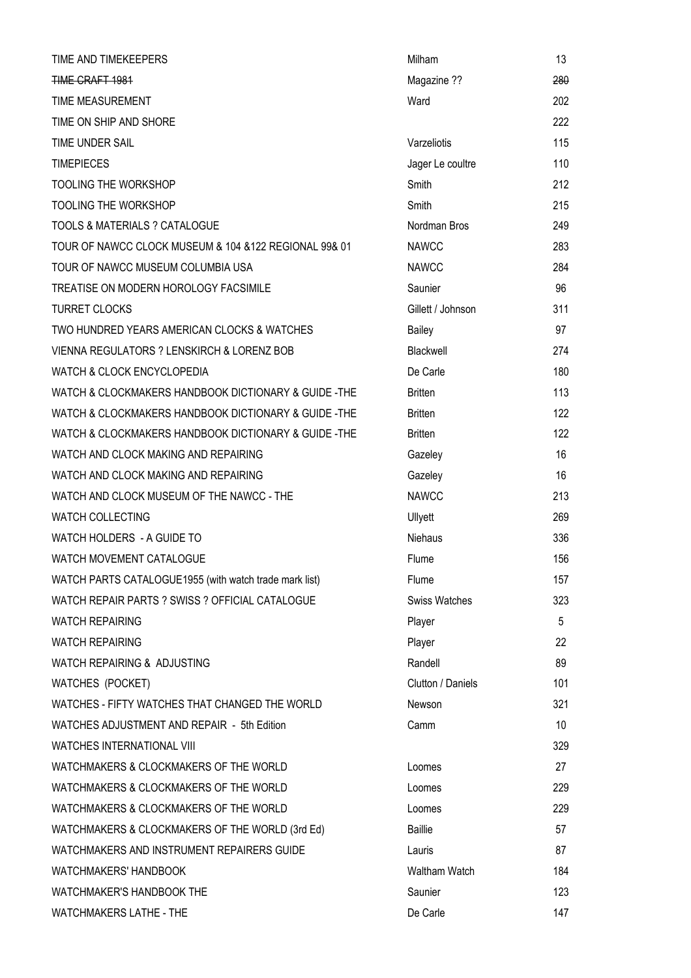| TIME AND TIMEKEEPERS                                   | Milham               | 13  |
|--------------------------------------------------------|----------------------|-----|
| TIME CRAFT 1981                                        | Magazine ??          | 280 |
| TIME MEASUREMENT                                       | Ward                 | 202 |
| TIME ON SHIP AND SHORE                                 |                      | 222 |
| TIME UNDER SAIL                                        | Varzeliotis          | 115 |
| <b>TIMEPIECES</b>                                      | Jager Le coultre     | 110 |
| <b>TOOLING THE WORKSHOP</b>                            | Smith                | 212 |
| <b>TOOLING THE WORKSHOP</b>                            | Smith                | 215 |
| TOOLS & MATERIALS ? CATALOGUE                          | Nordman Bros         | 249 |
| TOUR OF NAWCC CLOCK MUSEUM & 104 & 122 REGIONAL 99& 01 | <b>NAWCC</b>         | 283 |
| TOUR OF NAWCC MUSEUM COLUMBIA USA                      | <b>NAWCC</b>         | 284 |
| TREATISE ON MODERN HOROLOGY FACSIMILE                  | Saunier              | 96  |
| <b>TURRET CLOCKS</b>                                   | Gillett / Johnson    | 311 |
| TWO HUNDRED YEARS AMERICAN CLOCKS & WATCHES            | Bailey               | 97  |
| VIENNA REGULATORS ? LENSKIRCH & LORENZ BOB             | Blackwell            | 274 |
| <b>WATCH &amp; CLOCK ENCYCLOPEDIA</b>                  | De Carle             | 180 |
| WATCH & CLOCKMAKERS HANDBOOK DICTIONARY & GUIDE-THE    | <b>Britten</b>       | 113 |
| WATCH & CLOCKMAKERS HANDBOOK DICTIONARY & GUIDE -THE   | <b>Britten</b>       | 122 |
| WATCH & CLOCKMAKERS HANDBOOK DICTIONARY & GUIDE -THE   | <b>Britten</b>       | 122 |
| WATCH AND CLOCK MAKING AND REPAIRING                   | Gazeley              | 16  |
| WATCH AND CLOCK MAKING AND REPAIRING                   | Gazeley              | 16  |
| WATCH AND CLOCK MUSEUM OF THE NAWCC - THE              | <b>NAWCC</b>         | 213 |
| <b>WATCH COLLECTING</b>                                | Ullyett              | 269 |
| WATCH HOLDERS - A GUIDE TO                             | Niehaus              | 336 |
| WATCH MOVEMENT CATALOGUE                               | Flume                | 156 |
| WATCH PARTS CATALOGUE1955 (with watch trade mark list) | Flume                | 157 |
| WATCH REPAIR PARTS ? SWISS ? OFFICIAL CATALOGUE        | <b>Swiss Watches</b> | 323 |
| <b>WATCH REPAIRING</b>                                 | Player               | 5   |
| <b>WATCH REPAIRING</b>                                 | Player               | 22  |
| WATCH REPAIRING & ADJUSTING                            | Randell              | 89  |
| WATCHES (POCKET)                                       | Clutton / Daniels    | 101 |
| WATCHES - FIFTY WATCHES THAT CHANGED THE WORLD         | Newson               | 321 |
| WATCHES ADJUSTMENT AND REPAIR - 5th Edition            | Camm                 | 10  |
| WATCHES INTERNATIONAL VIII                             |                      | 329 |
| WATCHMAKERS & CLOCKMAKERS OF THE WORLD                 | Loomes               | 27  |
| WATCHMAKERS & CLOCKMAKERS OF THE WORLD                 | Loomes               | 229 |
| WATCHMAKERS & CLOCKMAKERS OF THE WORLD                 | Loomes               | 229 |
| WATCHMAKERS & CLOCKMAKERS OF THE WORLD (3rd Ed)        | <b>Baillie</b>       | 57  |
| WATCHMAKERS AND INSTRUMENT REPAIRERS GUIDE             | Lauris               | 87  |
| <b>WATCHMAKERS' HANDBOOK</b>                           | Waltham Watch        | 184 |
| WATCHMAKER'S HANDBOOK THE                              | Saunier              | 123 |
| WATCHMAKERS LATHE - THE                                | De Carle             | 147 |